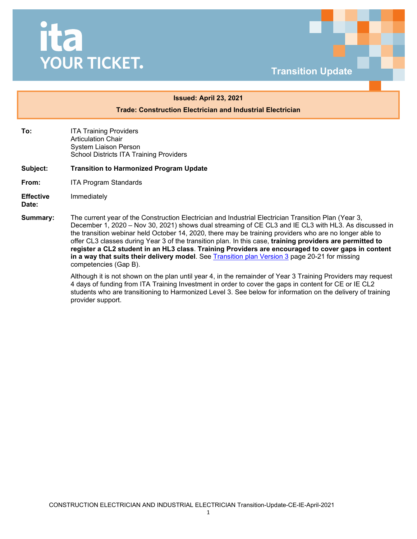## ita **YOUR TICKET.**



## **Issued: April 23, 2021**

**Trade: Construction Electrician and Industrial Electrician**

- **To: ITA Training Providers** Articulation Chair System Liaison Person School Districts ITA Training Providers
- **Subject: Transition to Harmonized Program Update**
- **From:** ITA Program Standards
- **Effective**  Immediately

**Date:**

**Summary:** The current year of the Construction Electrician and Industrial Electrician Transition Plan (Year 3, December 1, 2020 – Nov 30, 2021) shows dual streaming of CE CL3 and IE CL3 with HL3. As discussed in the transition webinar held October 14, 2020, there may be training providers who are no longer able to offer CL3 classes during Year 3 of the transition plan. In this case, **training providers are permitted to register a CL2 student in an HL3 class**. **Training Providers are encouraged to cover gaps in content in a way that suits their delivery model**. See [Transition plan Version](https://www.itabc.ca/sites/default/files/docs/CEIE_Transition%20Plan_Mar%202021.pdf) 3 page 20-21 for missing competencies (Gap B).

> Although it is not shown on the plan until year 4, in the remainder of Year 3 Training Providers may request 4 days of funding from ITA Training Investment in order to cover the gaps in content for CE or IE CL2 students who are transitioning to Harmonized Level 3. See below for information on the delivery of training provider support.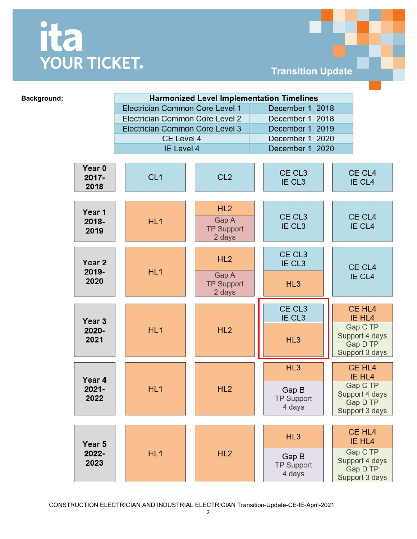## ita<br>YOUR TICKET.

**Transition Update**

| Background:                | <b>Harmonized Level Implementation Timelines</b> |                                             |                                          |                                                          |
|----------------------------|--------------------------------------------------|---------------------------------------------|------------------------------------------|----------------------------------------------------------|
|                            | Electrician Common Core Level 1                  |                                             | December 1, 2018                         |                                                          |
|                            | Electrician Common Core Level 2                  |                                             | December 1, 2018                         |                                                          |
|                            | Electrician Common Core Level 3                  |                                             | December 1, 2019                         |                                                          |
|                            | CE Level 4                                       |                                             | December 1, 2020                         |                                                          |
|                            | IE Level 4                                       |                                             | December 1, 2020                         |                                                          |
|                            |                                                  |                                             |                                          |                                                          |
| Year 0<br>$2017 -$<br>2018 | CL <sub>1</sub>                                  | CL <sub>2</sub>                             | CE CL <sub>3</sub><br>IE CL <sub>3</sub> | CE CL4<br>IE CL4                                         |
| Year 1<br>2018-<br>2019    | HL <sub>1</sub>                                  | HL2<br>Gap A<br><b>TP Support</b><br>2 days | CE CL <sub>3</sub><br>IE CL <sub>3</sub> | CE CL4<br>IE CL4                                         |
| Year 2<br>2019-<br>2020    | HL1                                              | HL2                                         | CE CL <sub>3</sub><br>IE CL <sub>3</sub> | CE CL4<br>IE CL4                                         |
|                            |                                                  | Gap A<br><b>TP Support</b><br>2 days        | HL3                                      |                                                          |
|                            |                                                  |                                             | CE CL <sub>3</sub>                       | CE HL <sub>4</sub>                                       |
| Year <sub>3</sub>          |                                                  |                                             | IE CL3                                   | IE HL4                                                   |
| 2020-<br>2021              | HL1                                              | HL2                                         | HL3                                      | Gap C TP<br>Support 4 days<br>Gap D TP<br>Support 3 days |
| Year 4<br>$2021 -$<br>2022 | HL1                                              | HL2                                         | HL3                                      | CE HL <sub>4</sub><br>IE HL4                             |
|                            |                                                  |                                             | Gap B<br><b>TP Support</b><br>4 days     | Gap C TP<br>Support 4 days<br>Gap D TP<br>Support 3 days |
|                            |                                                  |                                             |                                          |                                                          |
| Year 5<br>2022-<br>2023    | HL <sub>1</sub>                                  | HL2                                         | HL3                                      | CE HL <sub>4</sub><br>IE HL4                             |
|                            |                                                  |                                             | Gap B<br><b>TP Support</b><br>4 days     | Gap C TP<br>Support 4 days<br>Gap D TP<br>Support 3 days |

CONSTRUCTION ELECTRICIAN AND INDUSTRIAL ELECTRICIAN Transition-Update-CE-IE-April-2021